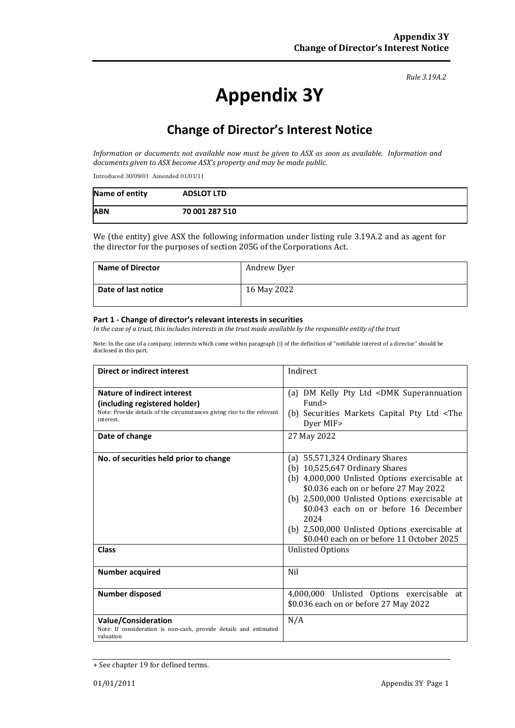*Rule 3.19A.2*

# **Appendix 3Y**

# **Change of Director's Interest Notice**

*Information or documents not available now must be given to ASX as soon as available. Information and documents given to ASX become ASX's property and may be made public.*

Introduced 30/09/01 Amended 01/01/11

| Name of entity | <b>ADSLOT LTD</b> |
|----------------|-------------------|
| <b>ABN</b>     | 70 001 287 510    |

We (the entity) give ASX the following information under listing rule 3.19A.2 and as agent for the director for the purposes of section 205G of the Corporations Act.

| <b>Name of Director</b> | Andrew Dyer |
|-------------------------|-------------|
| Date of last notice     | 16 May 2022 |

#### **Part 1 - Change of director's relevant interests in securities**

*In the case of a trust, this includes interests in the trust made available by the responsible entity of the trust*

Note: In the case of a company, interests which come within paragraph (i) of the definition of "notifiable interest of a director" should be disclosed in this part.

| <b>Direct or indirect interest</b>                                                                                                                                    | Indirect                                                                                                                                                                                                                                                                                                                                                       |  |
|-----------------------------------------------------------------------------------------------------------------------------------------------------------------------|----------------------------------------------------------------------------------------------------------------------------------------------------------------------------------------------------------------------------------------------------------------------------------------------------------------------------------------------------------------|--|
| Nature of indirect interest<br>(including registered holder)<br>Note: Provide details of the circumstances giving rise to the relevant<br>interest.<br>Date of change | (a) DM Kelly Pty Ltd <dmk superannuation<br="">Fund&gt;<br/>(b) Securities Markets Capital Pty Ltd <the<br>Dyer MIF&gt;<br/>27 May 2022</the<br></dmk>                                                                                                                                                                                                         |  |
| No. of securities held prior to change                                                                                                                                | (a) $55,571,324$ Ordinary Shares<br>(b) $10,525,647$ Ordinary Shares<br>(b) 4,000,000 Unlisted Options exercisable at<br>\$0.036 each on or before 27 May 2022<br>(b) 2,500,000 Unlisted Options exercisable at<br>\$0.043 each on or before 16 December<br>2024<br>(b) 2,500,000 Unlisted Options exercisable at<br>\$0.040 each on or before 11 October 2025 |  |
| <b>Class</b>                                                                                                                                                          | <b>Unlisted Options</b>                                                                                                                                                                                                                                                                                                                                        |  |
| <b>Number acquired</b>                                                                                                                                                | Nil                                                                                                                                                                                                                                                                                                                                                            |  |
| <b>Number disposed</b>                                                                                                                                                | 4,000,000 Unlisted Options exercisable at<br>\$0.036 each on or before 27 May 2022                                                                                                                                                                                                                                                                             |  |
| <b>Value/Consideration</b><br>Note: If consideration is non-cash, provide details and estimated<br>valuation                                                          | N/A                                                                                                                                                                                                                                                                                                                                                            |  |

<sup>+</sup> See chapter 19 for defined terms.